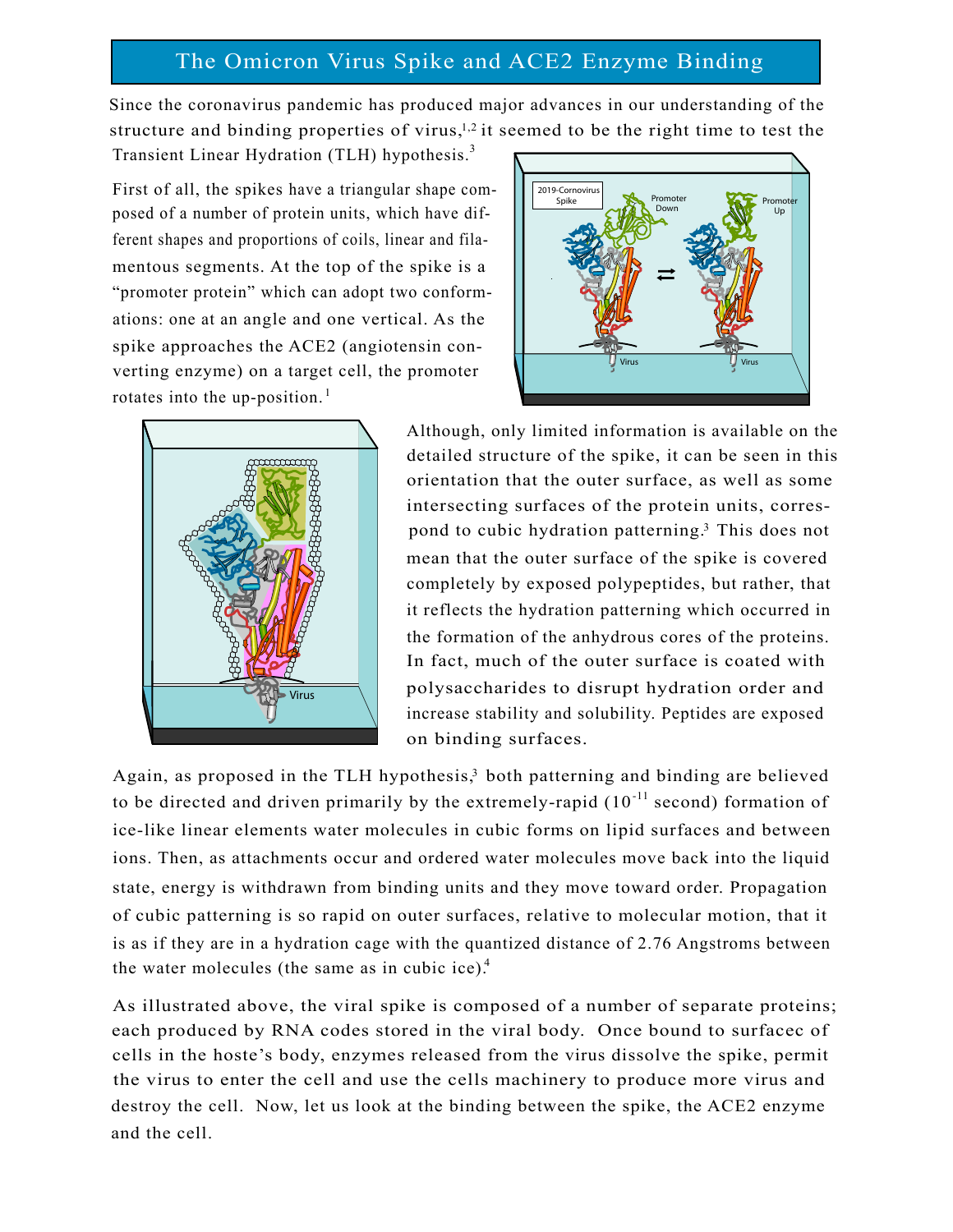## The Omicron Virus Spike and ACE2 Enzyme Binding

Since the coronavirus pandemic has produced major advances in our understanding of the structure and binding properties of virus, $1,2$  it seemed to be the right time to test the

Transient Linear Hydration (TLH) hypothesis.<sup>3</sup>

rotates into the up-position.<sup>1</sup> spike approaches the ACE2 (angiotensin converting enzyme) on a target cell, the promoter First of all, the spikes have a triangular shape composed of a number of protein units, which have different shapes and proportions of coils, linear and filamentous segments. At the top of the spike is a "promoter protein" which can adopt two conformations: one at an angle and one vertical. As the





Although, only limited information is available on the detailed structure of the spike, it can be seen in this orientation that the outer surface, as well as some intersecting surfaces of the protein units, correspond to cubic hydration patterning.<sup>3</sup> This does not mean that the outer surface of the spike is covered completely by exposed polypeptides, but rather, that it reflects the hydration patterning which occurred in the formation of the anhydrous cores of the proteins. In fact, much of the outer surface is coated with polysaccharides to disrupt hydration order and increase stability and solubility. Peptides are exposed on binding surfaces.

Again, as proposed in the TLH hypothesis,<sup>3</sup> both patterning and binding are believed to be directed and driven primarily by the extremely-rapid  $(10^{-11}$  second) formation of ice-like linear elements water molecules in cubic forms on lipid surfaces and between ions. Then, as attachments occur and ordered water molecules move back into the liquid state, energy is withdrawn from binding units and they move toward order. Propagation of cubic patterning is so rapid on outer surfaces, relative to molecular motion, that it is as if they are in a hydration cage with the quantized distance of 2.76 Angstroms between the water molecules (the same as in cubic ice).<sup>4</sup>

As illustrated above, the viral spike is composed of a number of separate proteins; each produced by RNA codes stored in the viral body. Once bound to surfacec of cells in the hoste's body, enzymes released from the virus dissolve the spike, permit the virus to enter the cell and use the cells machinery to produce more virus and destroy the cell. Now, let us look at the binding between the spike, the ACE2 enzyme and the cell.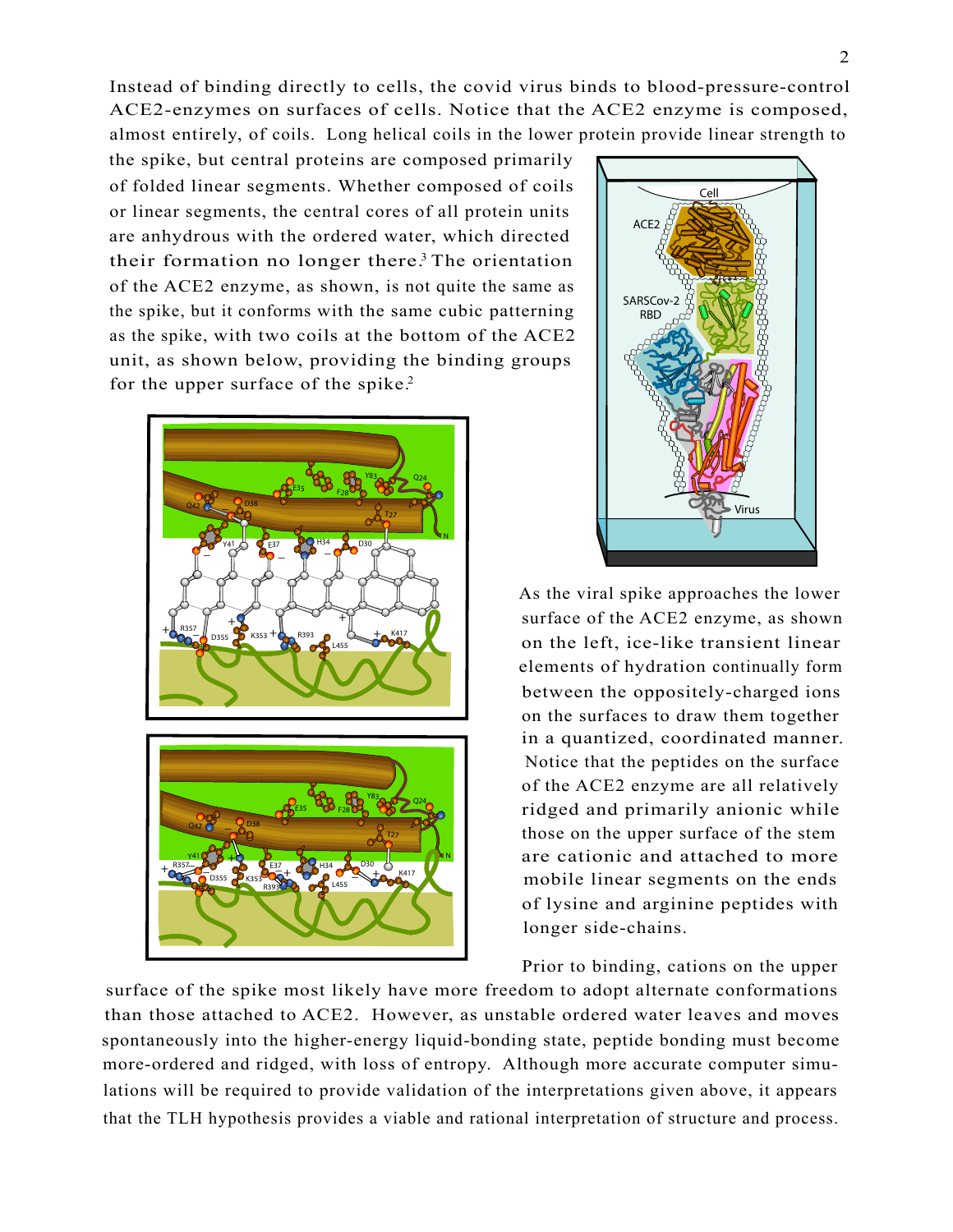ACE2-enzymes on surfaces of cells. Notice that the ACE2 enzyme is composed, Instead of binding directly to cells, the covid virus binds to blood-pressure-control almost entirely, of coils. Long helical coils in the lower protein provide linear strength to

the spike, but central proteins are composed primarily or linear segments, the central cores of all protein units of folded linear segments. Whether composed of coils are anhydrous with the ordered water, which directed their formation no longer there.<sup>3</sup> The orientation of the ACE2 enzyme, as shown, is not quite the same as the spike, but it conforms with the same cubic patterning as the spike, with two coils at the bottom of the ACE2 unit, as shown below, providing the binding groups for the upper surface of the spike.<sup>2</sup>





surface of the ACE2 enzyme, as shown on the left, ice-like transient linear As the viral spike approaches the lower between the oppositely-charged ions on the surfaces to draw them together elements of hydration continually form in a quantized, coordinated manner. of the ACE2 enzyme are all relatively ridged and primarily anionic while Notice that the peptides on the surface those on the upper surface of the stem are cationic and attached to more of lysine and arginine peptides with longer side-chains. mobile linear segments on the ends

Prior to binding, cations on the upper

surface of the spike most likely have more freedom to adopt alternate conformations than those attached to ACE2. However, as unstable ordered water leaves and moves spontaneously into the higher-energy liquid-bonding state, peptide bonding must become more-ordered and ridged, with loss of entropy. Although more accurate computer simulations will be required to provide validation of the interpretations given above, it appears that the TLH hypothesis provides a viable and rational interpretation of structure and process.